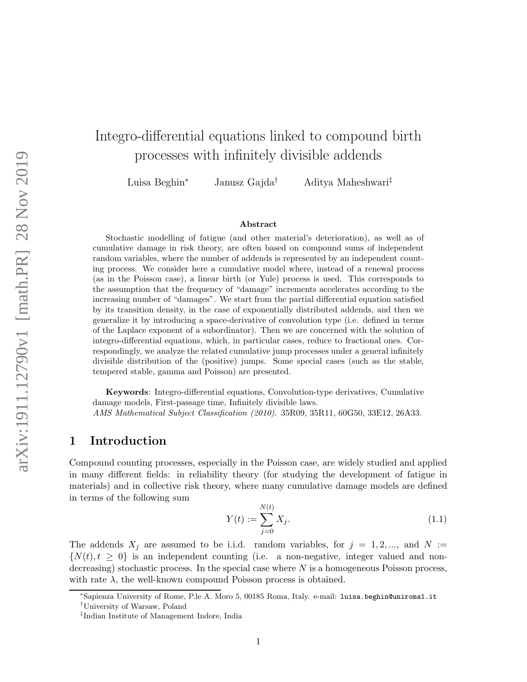# Integro-differential equations linked to compound birth processes with infinitely divisible addends

Luisa Beghin<sup>∗</sup> Janusz Gajda† Aditya Maheshwari‡

#### Abstract

Stochastic modelling of fatigue (and other material's deterioration), as well as of cumulative damage in risk theory, are often based on compound sums of independent random variables, where the number of addends is represented by an independent counting process. We consider here a cumulative model where, instead of a renewal process (as in the Poisson case), a linear birth (or Yule) process is used. This corresponds to the assumption that the frequency of "damage" increments accelerates according to the increasing number of "damages". We start from the partial differential equation satisfied by its transition density, in the case of exponentially distributed addends, and then we generalize it by introducing a space-derivative of convolution type (i.e. defined in terms of the Laplace exponent of a subordinator). Then we are concerned with the solution of integro-differential equations, which, in particular cases, reduce to fractional ones. Correspondingly, we analyze the related cumulative jump processes under a general infinitely divisible distribution of the (positive) jumps. Some special cases (such as the stable, tempered stable, gamma and Poisson) are presented.

Keywords: Integro-differential equations, Convolution-type derivatives, Cumulative damage models, First-passage time, Infinitely divisible laws. AMS Mathematical Subject Classification (2010). 35R09, 35R11, 60G50, 33E12, 26A33.

### 1 Introduction

Compound counting processes, especially in the Poisson case, are widely studied and applied in many different fields: in reliability theory (for studying the development of fatigue in materials) and in collective risk theory, where many cumulative damage models are defined in terms of the following sum

$$
Y(t) := \sum_{j=0}^{N(t)} X_j.
$$
\n(1.1)

The addends  $X_j$  are assumed to be i.i.d. random variables, for  $j = 1, 2, ...,$  and  $N :=$  $\{N(t), t \geq 0\}$  is an independent counting (i.e. a non-negative, integer valued and nondecreasing) stochastic process. In the special case where  $N$  is a homogeneous Poisson process, with rate  $\lambda$ , the well-known compound Poisson process is obtained.

<sup>∗</sup>Sapienza University of Rome, P.le A. Moro 5, 00185 Roma, Italy. e-mail: luisa.beghin@uniroma1.it

<sup>†</sup>University of Warsaw, Poland

<sup>‡</sup> Indian Institute of Management Indore, India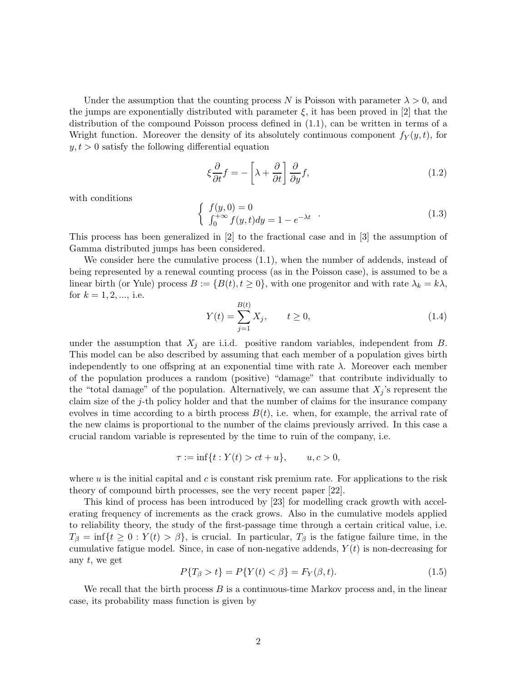Under the assumption that the counting process N is Poisson with parameter  $\lambda > 0$ , and the jumps are exponentially distributed with parameter  $\xi$ , it has been proved in [2] that the distribution of the compound Poisson process defined in (1.1), can be written in terms of a Wright function. Moreover the density of its absolutely continuous component  $f_Y(y, t)$ , for  $y, t > 0$  satisfy the following differential equation

$$
\xi \frac{\partial}{\partial t} f = -\left[\lambda + \frac{\partial}{\partial t}\right] \frac{\partial}{\partial y} f,\tag{1.2}
$$

with conditions

$$
\begin{cases}\nf(y,0) = 0 \\
\int_0^{+\infty} f(y,t)dy = 1 - e^{-\lambda t}\n\end{cases} \tag{1.3}
$$

This process has been generalized in [2] to the fractional case and in [3] the assumption of Gamma distributed jumps has been considered.

We consider here the cumulative process (1.1), when the number of addends, instead of being represented by a renewal counting process (as in the Poisson case), is assumed to be a linear birth (or Yule) process  $B := \{B(t), t \geq 0\}$ , with one progenitor and with rate  $\lambda_k = k\lambda$ , for  $k = 1, 2, ...,$  i.e.

$$
Y(t) = \sum_{j=1}^{B(t)} X_j, \qquad t \ge 0,
$$
\n(1.4)

under the assumption that  $X_j$  are i.i.d. positive random variables, independent from  $B$ . This model can be also described by assuming that each member of a population gives birth independently to one offspring at an exponential time with rate  $\lambda$ . Moreover each member of the population produces a random (positive) "damage" that contribute individually to the "total damage" of the population. Alternatively, we can assume that  $X_j$ 's represent the claim size of the j-th policy holder and that the number of claims for the insurance company evolves in time according to a birth process  $B(t)$ , i.e. when, for example, the arrival rate of the new claims is proportional to the number of the claims previously arrived. In this case a crucial random variable is represented by the time to ruin of the company, i.e.

$$
\tau := \inf\{t : Y(t) > ct + u\}, \qquad u, c > 0,
$$

where  $u$  is the initial capital and  $c$  is constant risk premium rate. For applications to the risk theory of compound birth processes, see the very recent paper [22].

This kind of process has been introduced by [23] for modelling crack growth with accelerating frequency of increments as the crack grows. Also in the cumulative models applied to reliability theory, the study of the first-passage time through a certain critical value, i.e.  $T_\beta = \inf\{t \geq 0 : Y(t) > \beta\}$ , is crucial. In particular,  $T_\beta$  is the fatigue failure time, in the cumulative fatigue model. Since, in case of non-negative addends,  $Y(t)$  is non-decreasing for any  $t$ , we get

$$
P\{T_{\beta} > t\} = P\{Y(t) < \beta\} = F_Y(\beta, t). \tag{1.5}
$$

We recall that the birth process  $B$  is a continuous-time Markov process and, in the linear case, its probability mass function is given by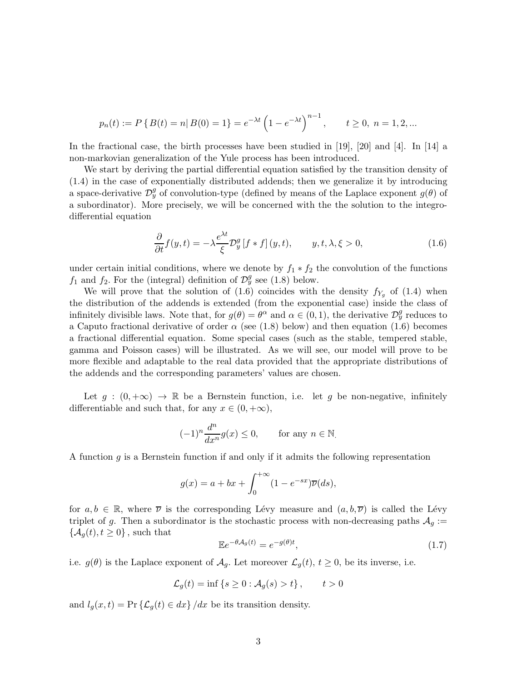$$
p_n(t) := P\left\{B(t) = n | B(0) = 1\right\} = e^{-\lambda t} \left(1 - e^{-\lambda t}\right)^{n-1}, \quad t \ge 0, \ n = 1, 2, \dots
$$

In the fractional case, the birth processes have been studied in [19], [20] and [4]. In [14] a non-markovian generalization of the Yule process has been introduced.

We start by deriving the partial differential equation satisfied by the transition density of (1.4) in the case of exponentially distributed addends; then we generalize it by introducing a space-derivative  $\mathcal{D}_{y}^{g}$  of convolution-type (defined by means of the Laplace exponent  $g(\theta)$  of a subordinator). More precisely, we will be concerned with the the solution to the integrodifferential equation

$$
\frac{\partial}{\partial t} f(y, t) = -\lambda \frac{e^{\lambda t}}{\xi} \mathcal{D}_y^g \left[ f * f \right](y, t), \qquad y, t, \lambda, \xi > 0,
$$
\n(1.6)

under certain initial conditions, where we denote by  $f_1 * f_2$  the convolution of the functions  $f_1$  and  $f_2$ . For the (integral) definition of  $\mathcal{D}_y^g$  see (1.8) below.

We will prove that the solution of (1.6) coincides with the density  $f_{Y_q}$  of (1.4) when the distribution of the addends is extended (from the exponential case) inside the class of infinitely divisible laws. Note that, for  $g(\theta) = \theta^{\alpha}$  and  $\alpha \in (0, 1)$ , the derivative  $\mathcal{D}_{y}^{g}$  reduces to a Caputo fractional derivative of order  $\alpha$  (see (1.8) below) and then equation (1.6) becomes a fractional differential equation. Some special cases (such as the stable, tempered stable, gamma and Poisson cases) will be illustrated. As we will see, our model will prove to be more flexible and adaptable to the real data provided that the appropriate distributions of the addends and the corresponding parameters' values are chosen.

Let  $g : (0, +\infty) \to \mathbb{R}$  be a Bernstein function, i.e. let g be non-negative, infinitely differentiable and such that, for any  $x \in (0, +\infty)$ ,

$$
(-1)^n \frac{d^n}{dx^n} g(x) \le 0, \quad \text{for any } n \in \mathbb{N}.
$$

A function g is a Bernstein function if and only if it admits the following representation

$$
g(x) = a + bx + \int_0^{+\infty} (1 - e^{-sx}) \overline{\nu}(ds),
$$

for  $a, b \in \mathbb{R}$ , where  $\overline{\nu}$  is the corresponding Lévy measure and  $(a, b, \overline{\nu})$  is called the Lévy triplet of g. Then a subordinator is the stochastic process with non-decreasing paths  $A_q$  :=  $\{\mathcal{A}_{q}(t), t\geq 0\}$ , such that

$$
\mathbb{E}e^{-\theta \mathcal{A}_g(t)} = e^{-g(\theta)t},\tag{1.7}
$$

i.e.  $g(\theta)$  is the Laplace exponent of  $\mathcal{A}_g$ . Let moreover  $\mathcal{L}_g(t)$ ,  $t \geq 0$ , be its inverse, i.e.

$$
\mathcal{L}_g(t) = \inf \left\{ s \ge 0 : \mathcal{A}_g(s) > t \right\}, \qquad t > 0
$$

and  $l_q(x,t) = \Pr \{ \mathcal{L}_q(t) \in dx \} / dx$  be its transition density.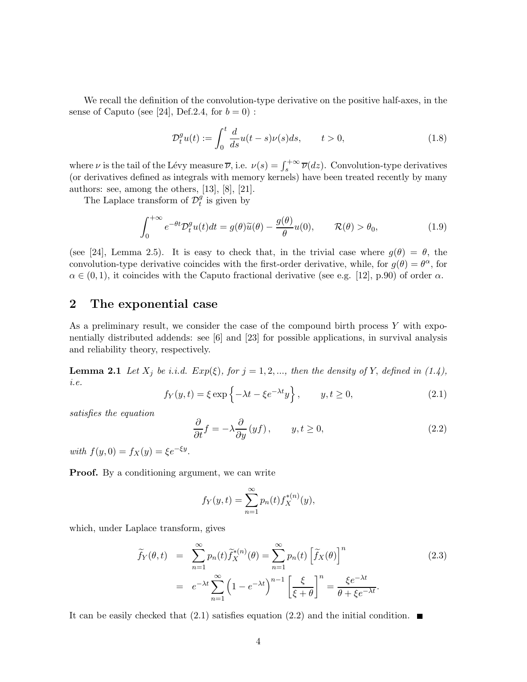We recall the definition of the convolution-type derivative on the positive half-axes, in the sense of Caputo (see [24], Def. 2.4, for  $b = 0$ ):

$$
\mathcal{D}_t^g u(t) := \int_0^t \frac{d}{ds} u(t-s)\nu(s)ds, \qquad t > 0,
$$
\n(1.8)

where  $\nu$  is the tail of the Lévy measure  $\overline{\nu}$ , i.e.  $\nu(s) = \int_s^{+\infty} \overline{\nu}(dz)$ . Convolution-type derivatives (or derivatives defined as integrals with memory kernels) have been treated recently by many authors: see, among the others, [13], [8], [21].

The Laplace transform of  $\mathcal{D}_t^g$  $_t^g$  is given by

$$
\int_0^{+\infty} e^{-\theta t} \mathcal{D}_t^g u(t) dt = g(\theta) \widetilde{u}(\theta) - \frac{g(\theta)}{\theta} u(0), \qquad \mathcal{R}(\theta) > \theta_0,
$$
\n(1.9)

(see [24], Lemma 2.5). It is easy to check that, in the trivial case where  $q(\theta) = \theta$ , the convolution-type derivative coincides with the first-order derivative, while, for  $g(\theta) = \theta^{\alpha}$ , for  $\alpha \in (0, 1)$ , it coincides with the Caputo fractional derivative (see e.g. [12], p.90) of order  $\alpha$ .

# 2 The exponential case

As a preliminary result, we consider the case of the compound birth process  $Y$  with exponentially distributed addends: see [6] and [23] for possible applications, in survival analysis and reliability theory, respectively.

**Lemma 2.1** Let  $X_j$  be i.i.d.  $Exp(\xi)$ , for  $j = 1, 2, \ldots$ , then the density of Y, defined in (1.4), i.e.

$$
f_Y(y,t) = \xi \exp\left\{-\lambda t - \xi e^{-\lambda t}y\right\}, \qquad y, t \ge 0,
$$
\n(2.1)

satisfies the equation

$$
\frac{\partial}{\partial t}f = -\lambda \frac{\partial}{\partial y}(yf), \qquad y, t \ge 0,
$$
\n(2.2)

with  $f(y, 0) = f_X(y) = \xi e^{-\xi y}$ .

Proof. By a conditioning argument, we can write

$$
f_Y(y,t) = \sum_{n=1}^{\infty} p_n(t) f_X^{*(n)}(y),
$$

which, under Laplace transform, gives

$$
\widetilde{f}_Y(\theta, t) = \sum_{n=1}^{\infty} p_n(t) \widetilde{f}_X^{*(n)}(\theta) = \sum_{n=1}^{\infty} p_n(t) \left[ \widetilde{f}_X(\theta) \right]^n
$$
\n
$$
= e^{-\lambda t} \sum_{n=1}^{\infty} \left( 1 - e^{-\lambda t} \right)^{n-1} \left[ \frac{\xi}{\xi + \theta} \right]^n = \frac{\xi e^{-\lambda t}}{\theta + \xi e^{-\lambda t}}.
$$
\n(2.3)

It can be easily checked that (2.1) satisfies equation (2.2) and the initial condition.  $\blacksquare$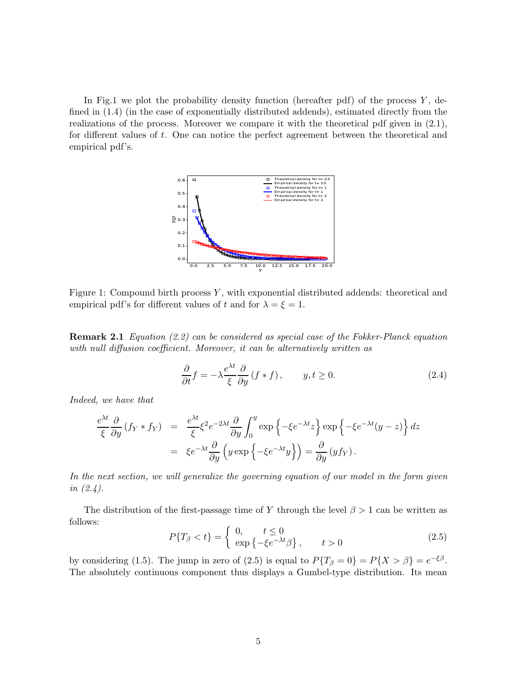In Fig.1 we plot the probability density function (hereafter pdf) of the process  $Y$ , defined in (1.4) (in the case of exponentially distributed addends), estimated directly from the realizations of the process. Moreover we compare it with the theoretical pdf given in (2.1), for different values of t. One can notice the perfect agreement between the theoretical and empirical pdf's.



Figure 1: Compound birth process  $Y$ , with exponential distributed addends: theoretical and empirical pdf's for different values of t and for  $\lambda = \xi = 1$ .

Remark 2.1 Equation (2.2) can be considered as special case of the Fokker-Planck equation with null diffusion coefficient. Moreover, it can be alternatively written as

$$
\frac{\partial}{\partial t}f = -\lambda \frac{e^{\lambda t}}{\xi} \frac{\partial}{\partial y} (f * f), \qquad y, t \ge 0.
$$
 (2.4)

Indeed, we have that

$$
\frac{e^{\lambda t}}{\xi} \frac{\partial}{\partial y} (f_Y * f_Y) = \frac{e^{\lambda t}}{\xi} \xi^2 e^{-2\lambda t} \frac{\partial}{\partial y} \int_0^y \exp\left\{-\xi e^{-\lambda t} z\right\} \exp\left\{-\xi e^{-\lambda t} (y-z)\right\} dz
$$

$$
= \xi e^{-\lambda t} \frac{\partial}{\partial y} \left(y \exp\left\{-\xi e^{-\lambda t} y\right\}\right) = \frac{\partial}{\partial y} (y f_Y).
$$

In the next section, we will generalize the governing equation of our model in the form given in (2.4).

The distribution of the first-passage time of Y through the level  $\beta > 1$  can be written as follows:

$$
P\{T_{\beta} < t\} = \begin{cases} 0, & t \le 0 \\ \exp\left\{-\xi e^{-\lambda t}\beta\right\}, & t > 0 \end{cases} \tag{2.5}
$$

by considering (1.5). The jump in zero of (2.5) is equal to  $P\{T_\beta = 0\} = P\{X > \beta\} = e^{-\xi\beta}$ . The absolutely continuous component thus displays a Gumbel-type distribution. Its mean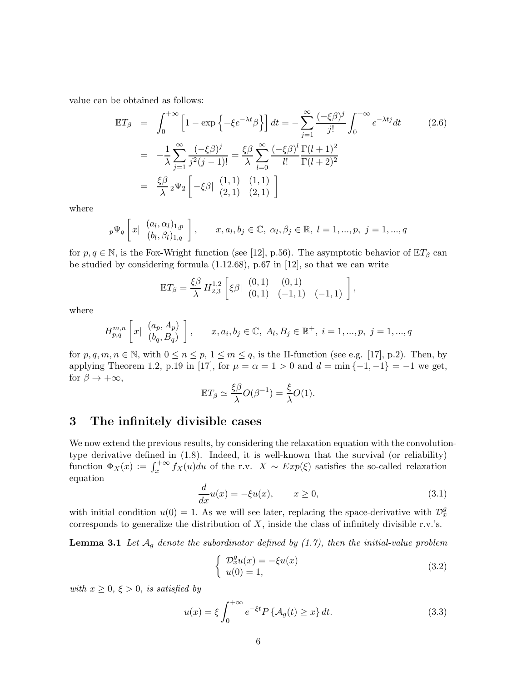value can be obtained as follows:

$$
\mathbb{E}T_{\beta} = \int_{0}^{+\infty} \left[1 - \exp\left\{-\xi e^{-\lambda t} \beta\right\}\right] dt = -\sum_{j=1}^{\infty} \frac{(-\xi \beta)^j}{j!} \int_{0}^{+\infty} e^{-\lambda t j} dt
$$
\n
$$
= -\frac{1}{\lambda} \sum_{j=1}^{\infty} \frac{(-\xi \beta)^j}{j^2 (j-1)!} = \frac{\xi \beta}{\lambda} \sum_{l=0}^{\infty} \frac{(-\xi \beta)^l}{l!} \frac{\Gamma(l+1)^2}{\Gamma(l+2)^2}
$$
\n
$$
= \frac{\xi \beta}{\lambda} {}_{2} \Psi_{2} \left[-\xi \beta| \begin{array}{cc} (1,1) & (1,1) \\ (2,1) & (2,1) \end{array}\right]
$$
\n(2.6)

where

$$
p\Psi_q \left[ x \mid \begin{array}{c} (a_l, \alpha_l)_{1,p} \\ (b_l, \beta_l)_{1,q} \end{array} \right], \quad x, a_l, b_j \in \mathbb{C}, \ \alpha_l, \beta_j \in \mathbb{R}, \ l = 1, ..., p, \ j = 1, ..., q
$$

for  $p, q \in \mathbb{N}$ , is the Fox-Wright function (see [12], p.56). The asymptotic behavior of  $\mathbb{E}T_{\beta}$  can be studied by considering formula (1.12.68), p.67 in [12], so that we can write

$$
\mathbb{E}T_{\beta} = \frac{\xi\beta}{\lambda} H_{2,3}^{1,2} \left[ \xi\beta \vert \begin{array}{cc} (0,1) & (0,1) \\ (0,1) & (-1,1) \end{array} \right],
$$

where

$$
H_{p,q}^{m,n} \left[ x \mid \begin{array}{c} (a_p, A_p) \\ (b_q, B_q) \end{array} \right], \qquad x, a_i, b_j \in \mathbb{C}, A_l, B_j \in \mathbb{R}^+, i = 1, ..., p, j = 1, ..., q
$$

for  $p, q, m, n \in \mathbb{N}$ , with  $0 \le n \le p$ ,  $1 \le m \le q$ , is the H-function (see e.g. [17], p.2). Then, by applying Theorem 1.2, p.19 in [17], for  $\mu = \alpha = 1 > 0$  and  $d = \min\{-1, -1\} = -1$  we get, for  $\beta \to +\infty$ ,

$$
\mathbb{E}T_{\beta} \simeq \frac{\xi \beta}{\lambda} O(\beta^{-1}) = \frac{\xi}{\lambda} O(1).
$$

### 3 The infinitely divisible cases

We now extend the previous results, by considering the relaxation equation with the convolutiontype derivative defined in (1.8). Indeed, it is well-known that the survival (or reliability) function  $\Phi_X(x) := \int_x^{+\infty} f_X(u) du$  of the r.v.  $X \sim Exp(\xi)$  satisfies the so-called relaxation equation

$$
\frac{d}{dx}u(x) = -\xi u(x), \qquad x \ge 0,
$$
\n(3.1)

with initial condition  $u(0) = 1$ . As we will see later, replacing the space-derivative with  $\mathcal{D}_x^g$ corresponds to generalize the distribution of  $X$ , inside the class of infinitely divisible r.v.'s.

**Lemma 3.1** Let  $\mathcal{A}_g$  denote the subordinator defined by (1.7), then the initial-value problem

$$
\begin{cases}\n\mathcal{D}_x^g u(x) = -\xi u(x) \\
u(0) = 1,\n\end{cases} \tag{3.2}
$$

with  $x \geq 0$ ,  $\xi > 0$ , is satisfied by

$$
u(x) = \xi \int_0^{+\infty} e^{-\xi t} P\left\{ \mathcal{A}_g(t) \ge x \right\} dt. \tag{3.3}
$$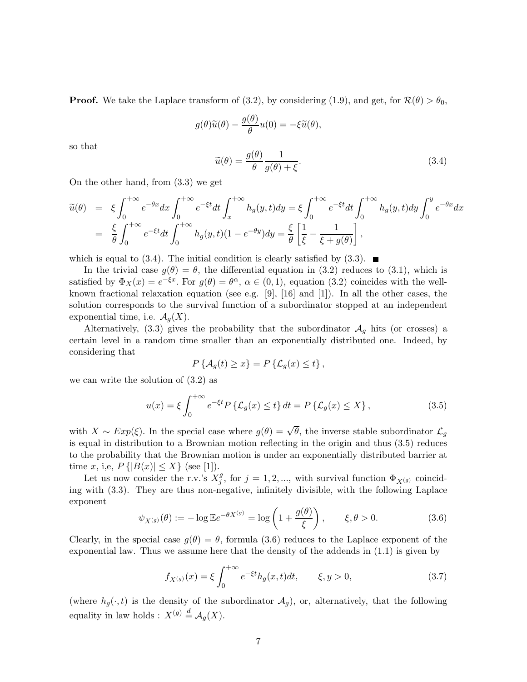**Proof.** We take the Laplace transform of (3.2), by considering (1.9), and get, for  $\mathcal{R}(\theta) > \theta_0$ ,

$$
g(\theta)\widetilde{u}(\theta) - \frac{g(\theta)}{\theta}u(0) = -\xi \widetilde{u}(\theta),
$$

so that

$$
\tilde{u}(\theta) = \frac{g(\theta)}{\theta} \frac{1}{g(\theta) + \xi}.
$$
\n(3.4)

On the other hand, from (3.3) we get

$$
\widetilde{u}(\theta) = \xi \int_0^{+\infty} e^{-\theta x} dx \int_0^{+\infty} e^{-\xi t} dt \int_x^{+\infty} h_g(y, t) dy = \xi \int_0^{+\infty} e^{-\xi t} dt \int_0^{+\infty} h_g(y, t) dy \int_0^y e^{-\theta x} dx
$$
  
\n
$$
= \frac{\xi}{\theta} \int_0^{+\infty} e^{-\xi t} dt \int_0^{+\infty} h_g(y, t) (1 - e^{-\theta y}) dy = \frac{\xi}{\theta} \left[ \frac{1}{\xi} - \frac{1}{\xi + g(\theta)} \right],
$$

which is equal to (3.4). The initial condition is clearly satisfied by (3.3).  $\blacksquare$ 

In the trivial case  $g(\theta) = \theta$ , the differential equation in (3.2) reduces to (3.1), which is satisfied by  $\Phi_X(x) = e^{-\xi x}$ . For  $g(\theta) = \theta^{\alpha}, \alpha \in (0,1)$ , equation (3.2) coincides with the wellknown fractional relaxation equation (see e.g. [9], [16] and [1]). In all the other cases, the solution corresponds to the survival function of a subordinator stopped at an independent exponential time, i.e.  $\mathcal{A}_g(X)$ .

Alternatively, (3.3) gives the probability that the subordinator  $A<sub>g</sub>$  hits (or crosses) a certain level in a random time smaller than an exponentially distributed one. Indeed, by considering that

$$
P\left\{ \mathcal{A}_{g}(t) \geq x \right\} = P\left\{ \mathcal{L}_{g}(x) \leq t \right\},\
$$

we can write the solution of (3.2) as

$$
u(x) = \xi \int_0^{+\infty} e^{-\xi t} P\left\{ \mathcal{L}_g(x) \le t \right\} dt = P\left\{ \mathcal{L}_g(x) \le X \right\},\tag{3.5}
$$

with  $X \sim Exp(\xi)$ . In the special case where  $g(\theta) = \sqrt{\theta}$ , the inverse stable subordinator  $\mathcal{L}_g$ is equal in distribution to a Brownian motion reflecting in the origin and thus (3.5) reduces to the probability that the Brownian motion is under an exponentially distributed barrier at time x, i,e,  $P\{|B(x)| \leq X\}$  (see [1]).

Let us now consider the r.v.'s  $X_i^g$  $j^g$ , for  $j = 1, 2, \dots$ , with survival function  $\Phi_{X^{(g)}}$  coinciding with (3.3). They are thus non-negative, infinitely divisible, with the following Laplace exponent  $\langle \overline{\mathscr{L}} \rangle$ 

$$
\psi_{X^{(g)}}(\theta) := -\log \mathbb{E} e^{-\theta X^{(g)}} = \log \left( 1 + \frac{g(\theta)}{\xi} \right), \qquad \xi, \theta > 0.
$$
 (3.6)

Clearly, in the special case  $g(\theta) = \theta$ , formula (3.6) reduces to the Laplace exponent of the exponential law. Thus we assume here that the density of the addends in (1.1) is given by

$$
f_{X^{(g)}}(x) = \xi \int_0^{+\infty} e^{-\xi t} h_g(x, t) dt, \qquad \xi, y > 0,
$$
\n(3.7)

(where  $h_q(\cdot, t)$  is the density of the subordinator  $\mathcal{A}_q$ ), or, alternatively, that the following equality in law holds :  $X^{(g)} \stackrel{d}{=} \mathcal{A}_g(X)$ .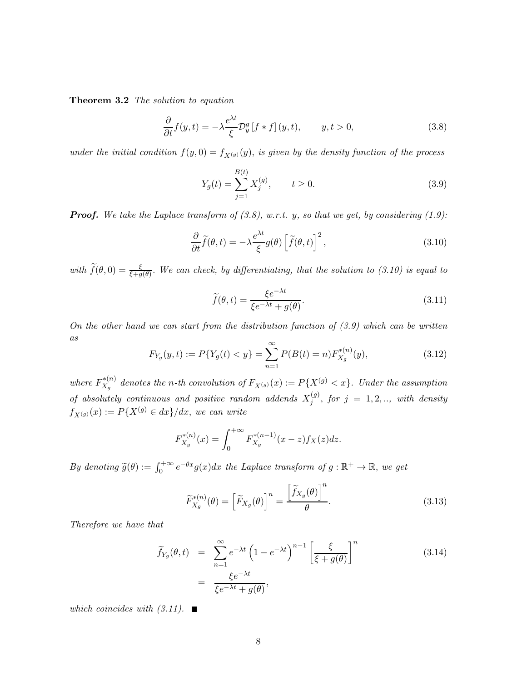Theorem 3.2 The solution to equation

$$
\frac{\partial}{\partial t}f(y,t) = -\lambda \frac{e^{\lambda t}}{\xi} \mathcal{D}_y^g \left[ f * f \right](y,t), \qquad y, t > 0,
$$
\n(3.8)

under the initial condition  $f(y, 0) = f_{X^{(g)}}(y)$ , is given by the density function of the process

$$
Y_g(t) = \sum_{j=1}^{B(t)} X_j^{(g)}, \qquad t \ge 0.
$$
\n(3.9)

**Proof.** We take the Laplace transform of  $(3.8)$ , w.r.t. y, so that we get, by considering  $(1.9)$ :

$$
\frac{\partial}{\partial t}\tilde{f}(\theta,t) = -\lambda \frac{e^{\lambda t}}{\xi}g(\theta)\left[\tilde{f}(\theta,t)\right]^2,\tag{3.10}
$$

with  $\tilde{f}(\theta,0) = \frac{\xi}{\xi + g(\theta)}$ . We can check, by differentiating, that the solution to (3.10) is equal to

$$
\widetilde{f}(\theta, t) = \frac{\xi e^{-\lambda t}}{\xi e^{-\lambda t} + g(\theta)}.
$$
\n(3.11)

On the other hand we can start from the distribution function of  $(3.9)$  which can be written  $\mathfrak{a}s$ 

$$
F_{Y_g}(y,t) := P\{Y_g(t) < y\} = \sum_{n=1}^{\infty} P(B(t) = n) F_{X_g}^{*(n)}(y),\tag{3.12}
$$

where  $F_{X_a}^{*(n)}$  $X^{*(n)}_{X_g}$  denotes the n-th convolution of  $F_{X^{(g)}}(x) := P\{X^{(g)} < x\}$ . Under the assumption of absolutely continuous and positive random addends  $X_i^{(g)}$  $j_j^{(y)}$ , for  $j = 1, 2, \ldots$ , with density  $f_{X^{(g)}}(x) := P\{X^{(g)} \in dx\}/dx$ , we can write

$$
F_{X_g}^{*(n)}(x) = \int_0^{+\infty} F_{X_g}^{*(n-1)}(x-z) f_X(z) dz.
$$

By denoting  $\widetilde{g}(\theta) := \int_0^{+\infty} e^{-\theta x} g(x) dx$  the Laplace transform of  $g : \mathbb{R}^+ \to \mathbb{R}$ , we get

$$
\widetilde{F}_{X_g}^{*(n)}(\theta) = \left[\widetilde{F}_{X_g}(\theta)\right]^n = \frac{\left[\widetilde{f}_{X_g}(\theta)\right]^n}{\theta}.
$$
\n(3.13)

Therefore we have that

$$
\widetilde{f}_{Y_g}(\theta, t) = \sum_{n=1}^{\infty} e^{-\lambda t} \left( 1 - e^{-\lambda t} \right)^{n-1} \left[ \frac{\xi}{\xi + g(\theta)} \right]^n
$$
\n
$$
= \frac{\xi e^{-\lambda t}}{\xi e^{-\lambda t} + g(\theta)},
$$
\n(3.14)

which coincides with  $(3.11)$ .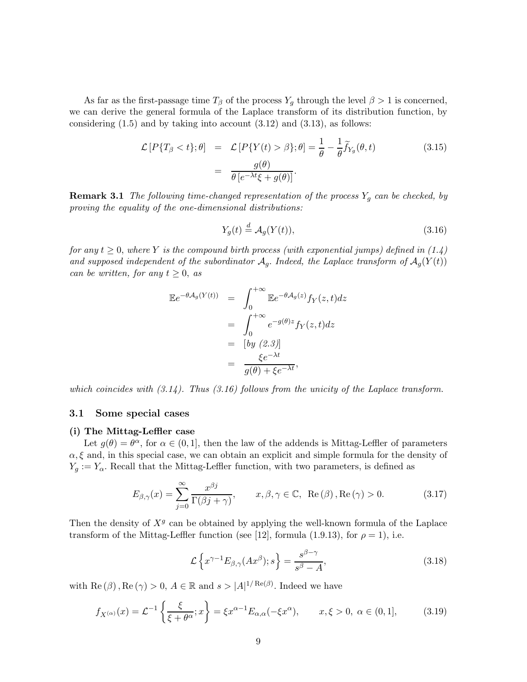As far as the first-passage time  $T_\beta$  of the process  $Y_q$  through the level  $\beta > 1$  is concerned, we can derive the general formula of the Laplace transform of its distribution function, by considering  $(1.5)$  and by taking into account  $(3.12)$  and  $(3.13)$ , as follows:

$$
\mathcal{L}[P\{T_{\beta} < t\}; \theta] = \mathcal{L}[P\{Y(t) > \beta\}; \theta] = \frac{1}{\theta} - \frac{1}{\theta} \widetilde{f}_{Y_{\beta}}(\theta, t) \tag{3.15}
$$
\n
$$
= \frac{g(\theta)}{\theta \left[e^{-\lambda t}\xi + g(\theta)\right]}.
$$

**Remark 3.1** The following time-changed representation of the process  $Y_g$  can be checked, by proving the equality of the one-dimensional distributions:

$$
Y_g(t) \stackrel{d}{=} \mathcal{A}_g(Y(t)),\tag{3.16}
$$

for any  $t \geq 0$ , where Y is the compound birth process (with exponential jumps) defined in (1.4) and supposed independent of the subordinator  $A_q$ . Indeed, the Laplace transform of  $A_q(Y(t))$ can be written, for any  $t \geq 0$ , as

$$
\mathbb{E}e^{-\theta \mathcal{A}_g(Y(t))} = \int_0^{+\infty} \mathbb{E}e^{-\theta \mathcal{A}_g(z)} f_Y(z,t) dz
$$
  
\n
$$
= \int_0^{+\infty} e^{-g(\theta)z} f_Y(z,t) dz
$$
  
\n
$$
= [by (2.3)]
$$
  
\n
$$
= \frac{\xi e^{-\lambda t}}{g(\theta) + \xi e^{-\lambda t}},
$$

which coincides with  $(3.14)$ . Thus  $(3.16)$  follows from the unicity of the Laplace transform.

### 3.1 Some special cases

#### (i) The Mittag-Leffler case

Let  $g(\theta) = \theta^{\alpha}$ , for  $\alpha \in (0, 1]$ , then the law of the addends is Mittag-Leffler of parameters  $\alpha, \xi$  and, in this special case, we can obtain an explicit and simple formula for the density of  $Y_g := Y_\alpha$ . Recall that the Mittag-Leffler function, with two parameters, is defined as

$$
E_{\beta,\gamma}(x) = \sum_{j=0}^{\infty} \frac{x^{\beta j}}{\Gamma(\beta j + \gamma)}, \qquad x, \beta, \gamma \in \mathbb{C}, \ \text{Re}(\beta), \text{Re}(\gamma) > 0. \tag{3.17}
$$

Then the density of  $X<sup>g</sup>$  can be obtained by applying the well-known formula of the Laplace transform of the Mittag-Leffler function (see [12], formula (1.9.13), for  $\rho = 1$ ), i.e.

$$
\mathcal{L}\left\{x^{\gamma-1}E_{\beta,\gamma}(Ax^{\beta});s\right\} = \frac{s^{\beta-\gamma}}{s^{\beta}-A},\tag{3.18}
$$

with Re  $(\beta)$ , Re  $(\gamma) > 0$ ,  $A \in \mathbb{R}$  and  $s > |A|^{1/\operatorname{Re}(\beta)}$ . Indeed we have

$$
f_{X^{(\alpha)}}(x) = \mathcal{L}^{-1}\left\{\frac{\xi}{\xi + \theta^{\alpha}}; x\right\} = \xi x^{\alpha - 1} E_{\alpha,\alpha}(-\xi x^{\alpha}), \qquad x, \xi > 0, \ \alpha \in (0,1], \tag{3.19}
$$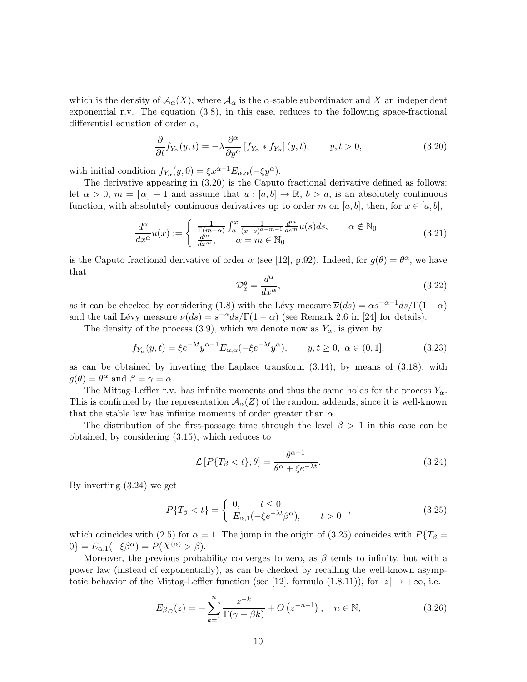which is the density of  $\mathcal{A}_{\alpha}(X)$ , where  $\mathcal{A}_{\alpha}$  is the  $\alpha$ -stable subordinator and X an independent exponential r.v. The equation (3.8), in this case, reduces to the following space-fractional differential equation of order  $\alpha$ ,

$$
\frac{\partial}{\partial t} f_{Y_{\alpha}}(y, t) = -\lambda \frac{\partial^{\alpha}}{\partial y^{\alpha}} \left[ f_{Y_{\alpha}} * f_{Y_{\alpha}} \right](y, t), \qquad y, t > 0,
$$
\n(3.20)

with initial condition  $f_{Y_\alpha}(y, 0) = \xi x^{\alpha - 1} E_{\alpha, \alpha}(-\xi y^\alpha)$ .

The derivative appearing in (3.20) is the Caputo fractional derivative defined as follows: let  $\alpha > 0$ ,  $m = |\alpha| + 1$  and assume that  $u : [a, b] \to \mathbb{R}$ ,  $b > a$ , is an absolutely continuous function, with absolutely continuous derivatives up to order m on [a, b], then, for  $x \in [a, b]$ ,

$$
\frac{d^{\alpha}}{dx^{\alpha}}u(x) := \begin{cases} \frac{1}{\Gamma(m-\alpha)} \int_{a}^{x} \frac{1}{(x-s)^{\alpha-m+1}} \frac{d^{m}}{ds^{m}} u(s) ds, & \alpha \notin \mathbb{N}_{0} \\ \frac{d^{m}}{dx^{m}}, & \alpha = m \in \mathbb{N}_{0} \end{cases}
$$
\n(3.21)

is the Caputo fractional derivative of order  $\alpha$  (see [12], p.92). Indeed, for  $g(\theta) = \theta^{\alpha}$ , we have that

$$
\mathcal{D}_x^g = \frac{d^\alpha}{dx^\alpha},\tag{3.22}
$$

as it can be checked by considering (1.8) with the Lévy measure  $\overline{\nu}(ds) = \alpha s^{-\alpha-1}ds/\Gamma(1-\alpha)$ and the tail Lévy measure  $\nu(ds) = s^{-\alpha}ds/\Gamma(1-\alpha)$  (see Remark 2.6 in [24] for details).

The density of the process (3.9), which we denote now as  $Y_{\alpha}$ , is given by

$$
f_{Y_{\alpha}}(y,t) = \xi e^{-\lambda t} y^{\alpha - 1} E_{\alpha,\alpha}(-\xi e^{-\lambda t} y^{\alpha}), \qquad y, t \ge 0, \ \alpha \in (0,1], \tag{3.23}
$$

as can be obtained by inverting the Laplace transform (3.14), by means of (3.18), with  $g(\theta) = \theta^{\alpha}$  and  $\beta = \gamma = \alpha$ .

The Mittag-Leffler r.v. has infinite moments and thus the same holds for the process  $Y_{\alpha}$ . This is confirmed by the representation  $\mathcal{A}_{\alpha}(Z)$  of the random addends, since it is well-known that the stable law has infinite moments of order greater than  $\alpha$ .

The distribution of the first-passage time through the level  $\beta > 1$  in this case can be obtained, by considering (3.15), which reduces to

$$
\mathcal{L}\left[P\{T_{\beta} < t\}; \theta\right] = \frac{\theta^{\alpha - 1}}{\theta^{\alpha} + \xi e^{-\lambda t}}.\tag{3.24}
$$

By inverting (3.24) we get

$$
P\{T_{\beta} < t\} = \begin{cases} \n0, & t \leq 0 \\ \nE_{\alpha,1}(-\xi e^{-\lambda t} \beta^{\alpha}), & t > 0 \n\end{cases} \tag{3.25}
$$

which coincides with (2.5) for  $\alpha = 1$ . The jump in the origin of (3.25) coincides with  $P\{T_\beta =$  $0$ } =  $E_{\alpha,1}(-\xi\beta^{\alpha}) = P(X^{(\alpha)} > \beta).$ 

Moreover, the previous probability converges to zero, as  $\beta$  tends to infinity, but with a power law (instead of exponentially), as can be checked by recalling the well-known asymptotic behavior of the Mittag-Leffler function (see [12], formula (1.8.11)), for  $|z| \to +\infty$ , i.e.

$$
E_{\beta,\gamma}(z) = -\sum_{k=1}^{n} \frac{z^{-k}}{\Gamma(\gamma - \beta k)} + O\left(z^{-n-1}\right), \quad n \in \mathbb{N},\tag{3.26}
$$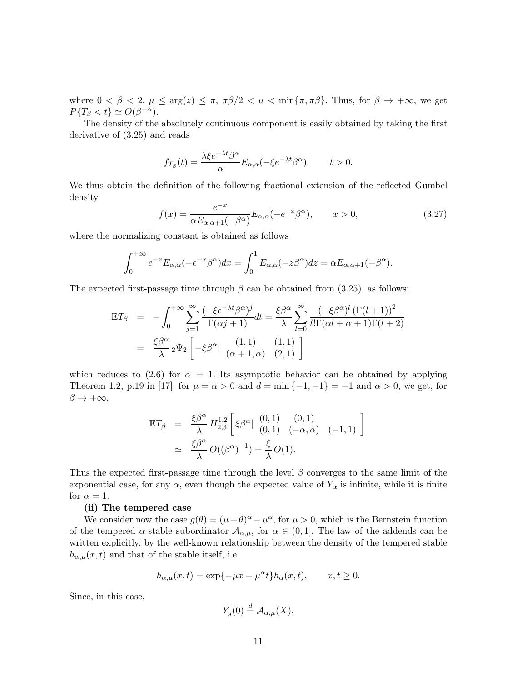where  $0 < \beta < 2$ ,  $\mu \le \arg(z) \le \pi$ ,  $\pi \beta/2 < \mu < \min{\pi, \pi \beta}$ . Thus, for  $\beta \to +\infty$ , we get  $P\{T_\beta < t\} \simeq O(\beta^{-\alpha}).$ 

The density of the absolutely continuous component is easily obtained by taking the first derivative of (3.25) and reads

$$
f_{T_{\beta}}(t) = \frac{\lambda \xi e^{-\lambda t} \beta^{\alpha}}{\alpha} E_{\alpha,\alpha}(-\xi e^{-\lambda t} \beta^{\alpha}), \qquad t > 0.
$$

We thus obtain the definition of the following fractional extension of the reflected Gumbel density

$$
f(x) = \frac{e^{-x}}{\alpha E_{\alpha,\alpha+1}(-\beta^{\alpha})} E_{\alpha,\alpha}(-e^{-x}\beta^{\alpha}), \qquad x > 0,
$$
\n(3.27)

where the normalizing constant is obtained as follows

$$
\int_0^{+\infty} e^{-x} E_{\alpha,\alpha}(-e^{-x} \beta^{\alpha}) dx = \int_0^1 E_{\alpha,\alpha}(-z \beta^{\alpha}) dz = \alpha E_{\alpha,\alpha+1}(-\beta^{\alpha}).
$$

The expected first-passage time through  $\beta$  can be obtained from (3.25), as follows:

$$
\mathbb{E}T_{\beta} = -\int_0^{+\infty} \sum_{j=1}^{\infty} \frac{(-\xi e^{-\lambda t} \beta^{\alpha})^j}{\Gamma(\alpha j + 1)} dt = \frac{\xi \beta^{\alpha}}{\lambda} \sum_{l=0}^{\infty} \frac{(-\xi \beta^{\alpha})^l (\Gamma(l+1))^2}{l! \Gamma(\alpha l + \alpha + 1) \Gamma(l+2)}
$$

$$
= \frac{\xi \beta^{\alpha}}{\lambda} {}_2 \Psi_2 \left[ -\xi \beta^{\alpha} \Big|_{\begin{array}{cc} (1,1) & (1,1) \\ (\alpha + 1, \alpha) & (2,1) \end{array}} \right]
$$

which reduces to (2.6) for  $\alpha = 1$ . Its asymptotic behavior can be obtained by applying Theorem 1.2, p.19 in [17], for  $\mu = \alpha > 0$  and  $d = \min\{-1, -1\} = -1$  and  $\alpha > 0$ , we get, for  $\beta \to +\infty$ ,

$$
\mathbb{E}T_{\beta} = \frac{\xi \beta^{\alpha}}{\lambda} H_{2,3}^{1,2} \left[ \xi \beta^{\alpha} | \begin{array}{cc} (0,1) & (0,1) \\ (0,1) & (-\alpha,\alpha) & (-1,1) \end{array} \right]
$$

$$
\simeq \frac{\xi \beta^{\alpha}}{\lambda} O((\beta^{\alpha})^{-1}) = \frac{\xi}{\lambda} O(1).
$$

Thus the expected first-passage time through the level  $\beta$  converges to the same limit of the exponential case, for any  $\alpha$ , even though the expected value of  $Y_{\alpha}$  is infinite, while it is finite for  $\alpha = 1$ .

#### (ii) The tempered case

We consider now the case  $g(\theta) = (\mu + \theta)^{\alpha} - \mu^{\alpha}$ , for  $\mu > 0$ , which is the Bernstein function of the tempered  $\alpha$ -stable subordinator  $\mathcal{A}_{\alpha,\mu}$ , for  $\alpha \in (0,1]$ . The law of the addends can be written explicitly, by the well-known relationship between the density of the tempered stable  $h_{\alpha,\mu}(x,t)$  and that of the stable itself, i.e.

$$
h_{\alpha,\mu}(x,t) = \exp\{-\mu x - \mu^{\alpha}t\}h_{\alpha}(x,t), \qquad x, t \ge 0.
$$

Since, in this case,

$$
Y_g(0) \stackrel{d}{=} \mathcal{A}_{\alpha,\mu}(X),
$$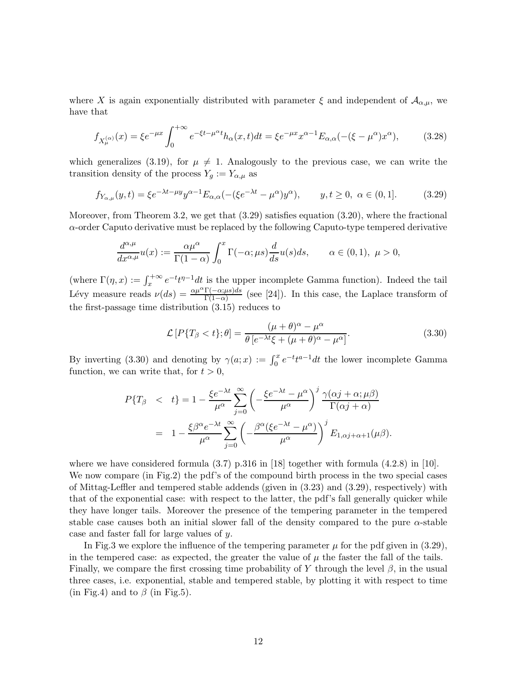where X is again exponentially distributed with parameter  $\xi$  and independent of  $\mathcal{A}_{\alpha,\mu}$ , we have that

$$
f_{X_{\mu}^{(\alpha)}}(x) = \xi e^{-\mu x} \int_0^{+\infty} e^{-\xi t - \mu^{\alpha} t} h_{\alpha}(x, t) dt = \xi e^{-\mu x} x^{\alpha - 1} E_{\alpha, \alpha}(-(\xi - \mu^{\alpha}) x^{\alpha}), \tag{3.28}
$$

which generalizes (3.19), for  $\mu \neq 1$ . Analogously to the previous case, we can write the transition density of the process  $Y_g := Y_{\alpha,\mu}$  as

$$
f_{Y_{\alpha,\mu}}(y,t) = \xi e^{-\lambda t - \mu y} y^{\alpha - 1} E_{\alpha,\alpha}(-(\xi e^{-\lambda t} - \mu^{\alpha}) y^{\alpha}), \qquad y, t \ge 0, \ \alpha \in (0,1].
$$
 (3.29)

Moreover, from Theorem 3.2, we get that  $(3.29)$  satisfies equation  $(3.20)$ , where the fractional  $\alpha$ -order Caputo derivative must be replaced by the following Caputo-type tempered derivative

$$
\frac{d^{\alpha,\mu}}{dx^{\alpha,\mu}}u(x) := \frac{\alpha\mu^{\alpha}}{\Gamma(1-\alpha)} \int_0^x \Gamma(-\alpha;\mu s) \frac{d}{ds}u(s)ds, \qquad \alpha \in (0,1), \ \mu > 0,
$$

(where  $\Gamma(\eta, x) := \int_x^{+\infty} e^{-t} t^{\eta-1} dt$  is the upper incomplete Gamma function). Indeed the tail Lévy measure reads  $\nu(ds) = \frac{\alpha \mu^{\alpha} \Gamma(-\alpha; \mu s) ds}{\Gamma(1-\alpha)}$  (see [24]). In this case, the Laplace transform of the first-passage time distribution (3.15) reduces to

$$
\mathcal{L}\left[P\{T_{\beta} < t\};\theta\right] = \frac{(\mu + \theta)^{\alpha} - \mu^{\alpha}}{\theta\left[e^{-\lambda t}\xi + (\mu + \theta)^{\alpha} - \mu^{\alpha}\right]}.\tag{3.30}
$$

By inverting (3.30) and denoting by  $\gamma(a; x) := \int_0^x e^{-t} t^{a-1} dt$  the lower incomplete Gamma function, we can write that, for  $t > 0$ ,

$$
P\{T_{\beta} \quad < \quad t\} = 1 - \frac{\xi e^{-\lambda t}}{\mu^{\alpha}} \sum_{j=0}^{\infty} \left( -\frac{\xi e^{-\lambda t} - \mu^{\alpha}}{\mu^{\alpha}} \right)^{j} \frac{\gamma(\alpha j + \alpha; \mu \beta)}{\Gamma(\alpha j + \alpha)}
$$
\n
$$
= 1 - \frac{\xi \beta^{\alpha} e^{-\lambda t}}{\mu^{\alpha}} \sum_{j=0}^{\infty} \left( -\frac{\beta^{\alpha} (\xi e^{-\lambda t} - \mu^{\alpha})}{\mu^{\alpha}} \right)^{j} E_{1, \alpha j + \alpha + 1}(\mu \beta).
$$

where we have considered formula  $(3.7)$  p.316 in [18] together with formula  $(4.2.8)$  in [10]. We now compare (in Fig.2) the pdf's of the compound birth process in the two special cases of Mittag-Leffler and tempered stable addends (given in (3.23) and (3.29), respectively) with that of the exponential case: with respect to the latter, the pdf's fall generally quicker while they have longer tails. Moreover the presence of the tempering parameter in the tempered stable case causes both an initial slower fall of the density compared to the pure  $\alpha$ -stable case and faster fall for large values of y.

In Fig.3 we explore the influence of the tempering parameter  $\mu$  for the pdf given in (3.29), in the tempered case: as expected, the greater the value of  $\mu$  the faster the fall of the tails. Finally, we compare the first crossing time probability of Y through the level  $\beta$ , in the usual three cases, i.e. exponential, stable and tempered stable, by plotting it with respect to time (in Fig.4) and to  $\beta$  (in Fig.5).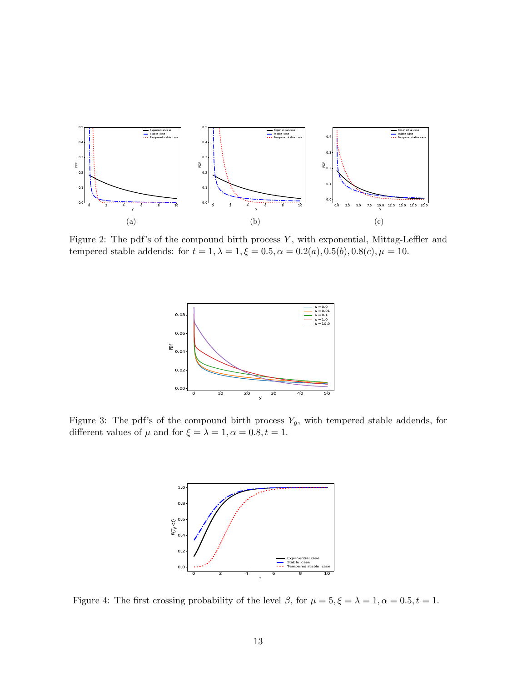

Figure 2: The pdf's of the compound birth process  $Y$ , with exponential, Mittag-Leffler and tempered stable addends: for  $t = 1, \lambda = 1, \xi = 0.5, \alpha = 0.2(a), 0.5(b), 0.8(c), \mu = 10.$ 



Figure 3: The pdf's of the compound birth process  $Y_g$ , with tempered stable addends, for different values of  $\mu$  and for  $\xi = \lambda = 1, \alpha = 0.8, t = 1$ .



Figure 4: The first crossing probability of the level  $\beta$ , for  $\mu = 5, \xi = \lambda = 1, \alpha = 0.5, t = 1$ .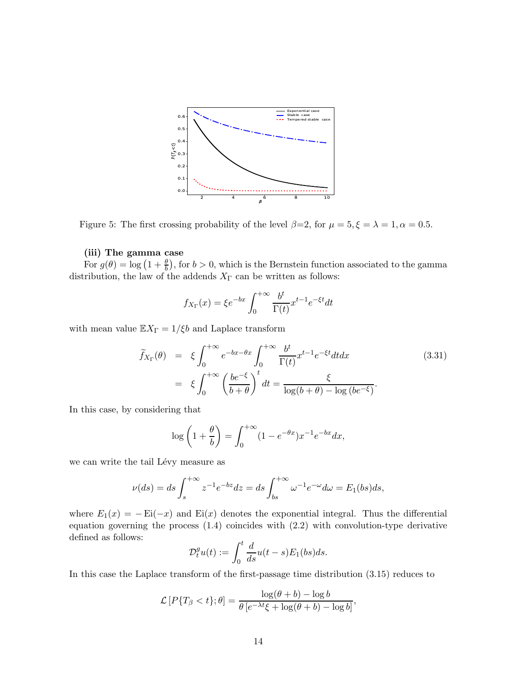

Figure 5: The first crossing probability of the level  $\beta=2$ , for  $\mu=5, \xi=\lambda=1, \alpha=0.5$ .

### (iii) The gamma case

For  $g(\theta) = \log (1 + \frac{\theta}{b})$ , for  $b > 0$ , which is the Bernstein function associated to the gamma distribution, the law of the addends  $X_{\Gamma}$  can be written as follows:

$$
f_{X_{\Gamma}}(x) = \xi e^{-bx} \int_0^{+\infty} \frac{b^t}{\Gamma(t)} x^{t-1} e^{-\xi t} dt
$$

with mean value  $\mathbb{E} X_{\Gamma} = 1/\xi b$  and Laplace transform

$$
\widetilde{f}_{X_{\Gamma}}(\theta) = \xi \int_0^{+\infty} e^{-bx - \theta x} \int_0^{+\infty} \frac{b^t}{\Gamma(t)} x^{t-1} e^{-\xi t} dt dx
$$
\n(3.31)\n
$$
= \xi \int_0^{+\infty} \left(\frac{be^{-\xi}}{b+\theta}\right)^t dt = \frac{\xi}{\log(b+\theta) - \log(be^{-\xi})}.
$$

In this case, by considering that

$$
\log\left(1+\frac{\theta}{b}\right) = \int_0^{+\infty} (1 - e^{-\theta x}) x^{-1} e^{-bx} dx,
$$

we can write the tail Lévy measure as

$$
\nu(ds) = ds \int_s^{+\infty} z^{-1} e^{-bz} dz = ds \int_{bs}^{+\infty} \omega^{-1} e^{-\omega} d\omega = E_1(bs) ds,
$$

where  $E_1(x) = -Ei(-x)$  and  $Ei(x)$  denotes the exponential integral. Thus the differential equation governing the process (1.4) coincides with (2.2) with convolution-type derivative defined as follows:

$$
\mathcal{D}_t^g u(t) := \int_0^t \frac{d}{ds} u(t-s) E_1(bs) ds.
$$

In this case the Laplace transform of the first-passage time distribution (3.15) reduces to

$$
\mathcal{L}\left[P\{T_{\beta} < t\};\theta\right] = \frac{\log(\theta + b) - \log b}{\theta\left[e^{-\lambda t}\xi + \log(\theta + b) - \log b\right]},
$$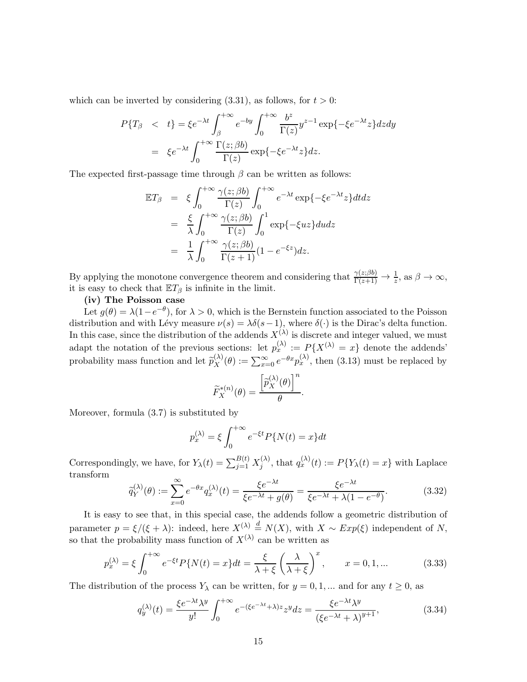which can be inverted by considering  $(3.31)$ , as follows, for  $t > 0$ :

$$
P\{T_{\beta} \quad < \quad t\} = \xi e^{-\lambda t} \int_{\beta}^{+\infty} e^{-by} \int_{0}^{+\infty} \frac{b^z}{\Gamma(z)} y^{z-1} \exp\{-\xi e^{-\lambda t} z\} dz dy
$$
\n
$$
= \quad \xi e^{-\lambda t} \int_{0}^{+\infty} \frac{\Gamma(z;\beta b)}{\Gamma(z)} \exp\{-\xi e^{-\lambda t} z\} dz.
$$

The expected first-passage time through  $\beta$  can be written as follows:

$$
\mathbb{E}T_{\beta} = \xi \int_0^{+\infty} \frac{\gamma(z;\beta b)}{\Gamma(z)} \int_0^{+\infty} e^{-\lambda t} \exp\{-\xi e^{-\lambda t} z\} dt dz
$$
  

$$
= \frac{\xi}{\lambda} \int_0^{+\infty} \frac{\gamma(z;\beta b)}{\Gamma(z)} \int_0^1 \exp\{-\xi u z\} du dz
$$
  

$$
= \frac{1}{\lambda} \int_0^{+\infty} \frac{\gamma(z;\beta b)}{\Gamma(z+1)} (1 - e^{-\xi z}) dz.
$$

By applying the monotone convergence theorem and considering that  $\frac{\gamma(z;\beta b)}{\Gamma(z+1)} \to \frac{1}{z}$ , as  $\beta \to \infty$ , it is easy to check that  $\mathbb{E}T_{\beta}$  is infinite in the limit.

#### (iv) The Poisson case

Let  $g(\theta) = \lambda(1 - e^{-\theta})$ , for  $\lambda > 0$ , which is the Bernstein function associated to the Poisson distribution and with Lévy measure  $\nu(s) = \lambda \delta(s-1)$ , where  $\delta(\cdot)$  is the Dirac's delta function. In this case, since the distribution of the addends  $X^{(\lambda)}$  is discrete and integer valued, we must adapt the notation of the previous sections: let  $p_x^{(\lambda)} := P\{X^{(\lambda)} = x\}$  denote the addends' probability mass function and let  $\widetilde{p}_X^{(\lambda)}$  $X^{(\lambda)}(0) := \sum_{x=0}^{\infty} e^{-\theta x} p_x^{(\lambda)}$ , then (3.13) must be replaced by

$$
\widetilde{F}_X^{*(n)}(\theta) = \frac{\left[\widetilde{p}_X^{(\lambda)}(\theta)\right]^n}{\theta}
$$

Moreover, formula (3.7) is substituted by

$$
p_x^{(\lambda)} = \xi \int_0^{+\infty} e^{-\xi t} P\{N(t) = x\} dt
$$

Correspondingly, we have, for  $Y_{\lambda}(t) = \sum_{j=1}^{B(t)} X_j^{(\lambda)}$  $j^{(\lambda)}$ , that  $q_x^{(\lambda)}(t) := P\{Y_\lambda(t) = x\}$  with Laplace transform

$$
\widetilde{q}_{Y}^{(\lambda)}(\theta) := \sum_{x=0}^{\infty} e^{-\theta x} q_{x}^{(\lambda)}(t) = \frac{\xi e^{-\lambda t}}{\xi e^{-\lambda t} + g(\theta)} = \frac{\xi e^{-\lambda t}}{\xi e^{-\lambda t} + \lambda (1 - e^{-\theta})}.
$$
\n(3.32)

.

It is easy to see that, in this special case, the addends follow a geometric distribution of parameter  $p = \xi/(\xi + \lambda)$ : indeed, here  $X^{(\lambda)} \stackrel{d}{=} N(X)$ , with  $X \sim Exp(\xi)$  independent of N, so that the probability mass function of  $X^{(\lambda)}$  can be written as

$$
p_x^{(\lambda)} = \xi \int_0^{+\infty} e^{-\xi t} P\{N(t) = x\} dt = \frac{\xi}{\lambda + \xi} \left(\frac{\lambda}{\lambda + \xi}\right)^x, \qquad x = 0, 1, \dots \tag{3.33}
$$

The distribution of the process  $Y_{\lambda}$  can be written, for  $y = 0, 1, ...$  and for any  $t \ge 0$ , as

$$
q_y^{(\lambda)}(t) = \frac{\xi e^{-\lambda t} \lambda^y}{y!} \int_0^{+\infty} e^{-(\xi e^{-\lambda t} + \lambda)z} z^y dz = \frac{\xi e^{-\lambda t} \lambda^y}{(\xi e^{-\lambda t} + \lambda)^{y+1}},
$$
(3.34)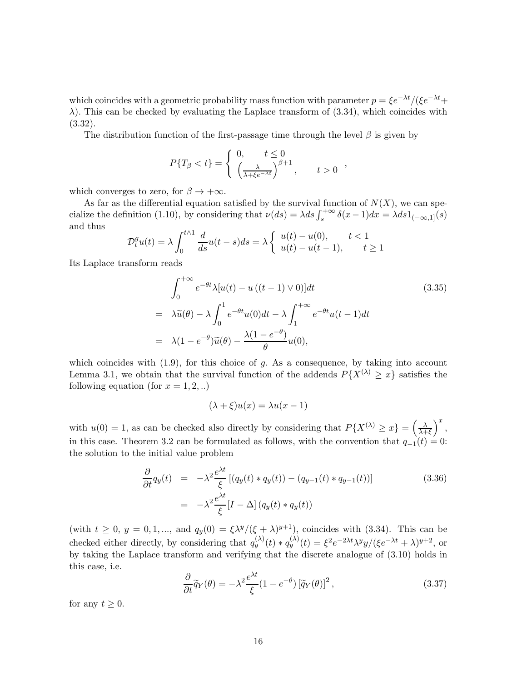which coincides with a geometric probability mass function with parameter  $p = \xi e^{-\lambda t}/(\xi e^{-\lambda t}+$  $\lambda$ ). This can be checked by evaluating the Laplace transform of (3.34), which coincides with (3.32).

The distribution function of the first-passage time through the level  $\beta$  is given by

$$
P\{T_{\beta} < t\} = \begin{cases} 0, & t \leq 0\\ \left(\frac{\lambda}{\lambda + \xi e^{-\lambda t}}\right)^{\beta + 1}, & t > 0 \end{cases}
$$

which converges to zero, for  $\beta \to +\infty$ .

As far as the differential equation satisfied by the survival function of  $N(X)$ , we can specialize the definition (1.10), by considering that  $\nu(ds) = \lambda ds \int_s^{+\infty} \delta(x-1)dx = \lambda ds 1_{(-\infty,1]}(s)$ and thus

$$
\mathcal{D}_t^g u(t) = \lambda \int_0^{t \wedge 1} \frac{d}{ds} u(t-s)ds = \lambda \begin{cases} u(t) - u(0), & t < 1 \\ u(t) - u(t-1), & t \ge 1 \end{cases}
$$

Its Laplace transform reads

$$
\int_0^{+\infty} e^{-\theta t} \lambda[u(t) - u((t-1) \vee 0)]dt
$$
\n
$$
= \lambda \widetilde{u}(\theta) - \lambda \int_0^1 e^{-\theta t} u(0) dt - \lambda \int_1^{+\infty} e^{-\theta t} u(t-1) dt
$$
\n
$$
= \lambda (1 - e^{-\theta}) \widetilde{u}(\theta) - \frac{\lambda (1 - e^{-\theta})}{\theta} u(0),
$$
\n(3.35)

which coincides with  $(1.9)$ , for this choice of  $g$ . As a consequence, by taking into account Lemma 3.1, we obtain that the survival function of the addends  $P\{\tilde{X}^{(\lambda)} \geq x\}$  satisfies the following equation (for  $x = 1, 2, ...$ )

$$
(\lambda + \xi)u(x) = \lambda u(x - 1)
$$

with  $u(0) = 1$ , as can be checked also directly by considering that  $P\{X^{(\lambda)} \geq x\} = \left(\frac{\lambda}{\lambda + x}\right)$  $λ+ξ$  $\Big)^x$ , in this case. Theorem 3.2 can be formulated as follows, with the convention that  $q_{-1}(t) = 0$ : the solution to the initial value problem

$$
\frac{\partial}{\partial t}q_y(t) = -\lambda^2 \frac{e^{\lambda t}}{\xi} \left[ (q_y(t) * q_y(t)) - (q_{y-1}(t) * q_{y-1}(t)) \right]
$$
\n
$$
= -\lambda^2 \frac{e^{\lambda t}}{\xi} [I - \Delta] \left( q_y(t) * q_y(t) \right)
$$
\n(3.36)

(with  $t \geq 0$ ,  $y = 0, 1, \dots$ , and  $q_y(0) = \frac{\xi \lambda^y}{(\xi + \lambda)^{y+1}}$ , coincides with (3.34). This can be checked either directly, by considering that  $q_y^{(\lambda)}(t) * q_y^{(\lambda)}(t) = \xi^2 e^{-2\lambda t} \lambda^y y / (\xi e^{-\lambda t} + \lambda)^{y+2}$ , or by taking the Laplace transform and verifying that the discrete analogue of (3.10) holds in this case, i.e.

$$
\frac{\partial}{\partial t}\tilde{q}_Y(\theta) = -\lambda^2 \frac{e^{\lambda t}}{\xi} (1 - e^{-\theta}) \left[\tilde{q}_Y(\theta)\right]^2, \tag{3.37}
$$

for any  $t \geq 0$ .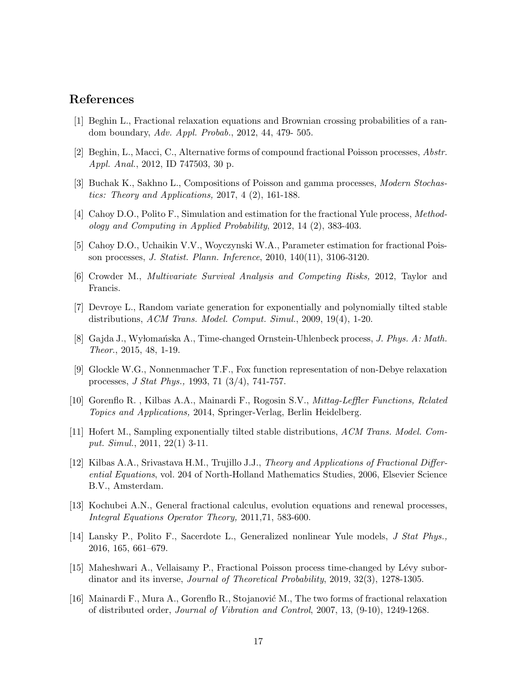# References

- [1] Beghin L., Fractional relaxation equations and Brownian crossing probabilities of a random boundary, Adv. Appl. Probab., 2012, 44, 479- 505.
- [2] Beghin, L., Macci, C., Alternative forms of compound fractional Poisson processes, Abstr. Appl. Anal., 2012, ID 747503, 30 p.
- [3] Buchak K., Sakhno L., Compositions of Poisson and gamma processes, Modern Stochastics: Theory and Applications, 2017, 4 (2), 161-188.
- [4] Cahoy D.O., Polito F., Simulation and estimation for the fractional Yule process, Methodology and Computing in Applied Probability, 2012, 14 (2), 383-403.
- [5] Cahoy D.O., Uchaikin V.V., Woyczynski W.A., Parameter estimation for fractional Poisson processes, J. Statist. Plann. Inference, 2010, 140(11), 3106-3120.
- [6] Crowder M., Multivariate Survival Analysis and Competing Risks, 2012, Taylor and Francis.
- [7] Devroye L., Random variate generation for exponentially and polynomially tilted stable distributions, ACM Trans. Model. Comput. Simul., 2009, 19(4), 1-20.
- [8] Gajda J., Wylomańska A., Time-changed Ornstein-Uhlenbeck process, J. Phys. A: Math. Theor., 2015, 48, 1-19.
- [9] Glockle W.G., Nonnenmacher T.F., Fox function representation of non-Debye relaxation processes, J Stat Phys., 1993, 71 (3/4), 741-757.
- [10] Gorenflo R. , Kilbas A.A., Mainardi F., Rogosin S.V., Mittag-Leffler Functions, Related Topics and Applications, 2014, Springer-Verlag, Berlin Heidelberg.
- [11] Hofert M., Sampling exponentially tilted stable distributions, ACM Trans. Model. Comput. Simul., 2011, 22(1) 3-11.
- [12] Kilbas A.A., Srivastava H.M., Trujillo J.J., Theory and Applications of Fractional Differential Equations, vol. 204 of North-Holland Mathematics Studies, 2006, Elsevier Science B.V., Amsterdam.
- [13] Kochubei A.N., General fractional calculus, evolution equations and renewal processes, Integral Equations Operator Theory, 2011,71, 583-600.
- [14] Lansky P., Polito F., Sacerdote L., Generalized nonlinear Yule models, J Stat Phys., 2016, 165, 661–679.
- [15] Maheshwari A., Vellaisamy P., Fractional Poisson process time-changed by L´evy subordinator and its inverse, Journal of Theoretical Probability, 2019, 32(3), 1278-1305.
- [16] Mainardi F., Mura A., Gorenflo R., Stojanović M., The two forms of fractional relaxation of distributed order, Journal of Vibration and Control, 2007, 13, (9-10), 1249-1268.